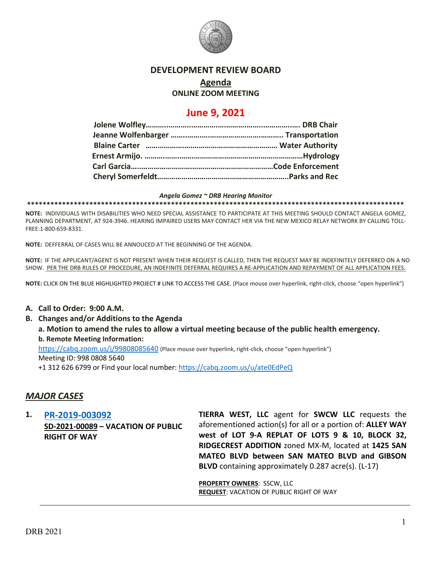

## **DEVELOPMENT REVIEW BOARD**

# **Agenda**

## **ONLINE ZOOM MEETING**

# **June 9, 2021**

#### *Angela Gomez ~ DRB Hearing Monitor*

**\*\*\*\*\*\*\*\*\*\*\*\*\*\*\*\*\*\*\*\*\*\*\*\*\*\*\*\*\*\*\*\*\*\*\*\*\*\*\*\*\*\*\*\*\*\*\*\*\*\*\*\*\*\*\*\*\*\*\*\*\*\*\*\*\*\*\*\*\*\*\*\*\*\*\*\*\*\*\*\*\*\*\*\*\*\*\*\*\*\*\*\*\*\*\*\*\***

**NOTE:** INDIVIDUALS WITH DISABILITIES WHO NEED SPECIAL ASSISTANCE TO PARTICIPATE AT THIS MEETING SHOULD CONTACT ANGELA GOMEZ, PLANNING DEPARTMENT, AT 924-3946. HEARING IMPAIRED USERS MAY CONTACT HER VIA THE NEW MEXICO RELAY NETWORK BY CALLING TOLL-FREE:1-800-659-8331.

**NOTE:** DEFFERRAL OF CASES WILL BE ANNOUCED AT THE BEGINNING OF THE AGENDA.

**NOTE:** IF THE APPLICANT/AGENT IS NOT PRESENT WHEN THEIR REQUEST IS CALLED, THEN THE REQUEST MAY BE INDEFINITELY DEFERRED ON A NO SHOW. PER THE DRB RULES OF PROCEDURE, AN INDEFINITE DEFERRAL REQUIRES A RE-APPLICATION AND REPAYMENT OF ALL APPLICATION FEES.

**NOTE:** CLICK ON THE BLUE HIGHLIGHTED PROJECT # LINK TO ACCESS THE CASE. (Place mouse over hyperlink, right-click, choose "open hyperlink")

#### **A. Call to Order: 9:00 A.M.**

- **B. Changes and/or Additions to the Agenda**
	- **a. Motion to amend the rules to allow a virtual meeting because of the public health emergency. b. Remote Meeting Information:**

<https://cabq.zoom.us/j/99808085640> (Place mouse over hyperlink, right-click, choose "open hyperlink") Meeting ID: 998 0808 5640

+1 312 626 6799 or Find your local number[: https://cabq.zoom.us/u/ate0EdPeQ](https://cabq.zoom.us/u/ate0EdPeQ)

# *MAJOR CASES*

**1. [PR-2019-003092](http://data.cabq.gov/government/planning/DRB/PR-2019-003092/DRB%20Submittals/PR-2019-003092_June_9_2021/Application/2019040%2005-04-21%20Suds%20Car%20Wash%20Vacation%20Submittal.pdf) SD-2021-00089 – VACATION OF PUBLIC RIGHT OF WAY**

**TIERRA WEST, LLC** agent for **SWCW LLC** requests the aforementioned action(s) for all or a portion of: **ALLEY WAY west of LOT 9-A REPLAT OF LOTS 9 & 10, BLOCK 32, RIDGECREST ADDITION** zoned MX-M, located at **1425 SAN MATEO BLVD between SAN MATEO BLVD and GIBSON BLVD** containing approximately 0.287 acre(s). (L-17)

**PROPERTY OWNERS**: SSCW, LLC **REQUEST**: VACATION OF PUBLIC RIGHT OF WAY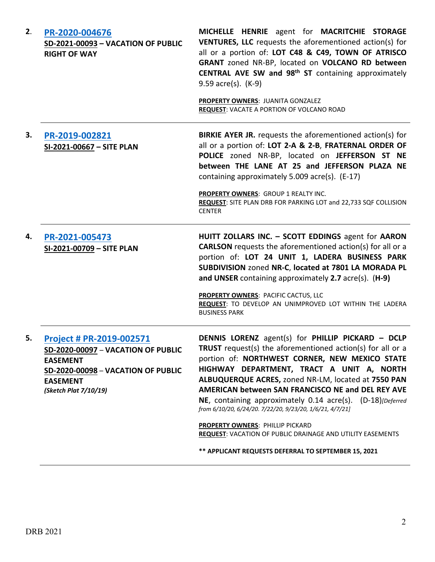| 2. | PR-2020-004676<br>SD-2021-00093 - VACATION OF PUBLIC<br><b>RIGHT OF WAY</b>                                                                                         | MICHELLE HENRIE agent for MACRITCHIE STORAGE<br><b>VENTURES, LLC</b> requests the aforementioned action(s) for<br>all or a portion of: LOT C48 & C49, TOWN OF ATRISCO<br>GRANT zoned NR-BP, located on VOLCANO RD between<br>CENTRAL AVE SW and 98 <sup>th</sup> ST containing approximately<br>$9.59$ acre(s). $(K-9)$                                                                                                                                                                         |
|----|---------------------------------------------------------------------------------------------------------------------------------------------------------------------|-------------------------------------------------------------------------------------------------------------------------------------------------------------------------------------------------------------------------------------------------------------------------------------------------------------------------------------------------------------------------------------------------------------------------------------------------------------------------------------------------|
|    |                                                                                                                                                                     | <b>PROPERTY OWNERS: JUANITA GONZALEZ</b><br><b>REQUEST: VACATE A PORTION OF VOLCANO ROAD</b>                                                                                                                                                                                                                                                                                                                                                                                                    |
| З. | PR-2019-002821<br>SI-2021-00667 - SITE PLAN                                                                                                                         | <b>BIRKIE AYER JR.</b> requests the aforementioned action(s) for<br>all or a portion of: LOT 2-A & 2-B, FRATERNAL ORDER OF<br>POLICE zoned NR-BP, located on JEFFERSON ST NE<br>between THE LANE AT 25 and JEFFERSON PLAZA NE<br>containing approximately 5.009 acre(s). (E-17)                                                                                                                                                                                                                 |
|    |                                                                                                                                                                     | PROPERTY OWNERS: GROUP 1 REALTY INC.<br>REQUEST: SITE PLAN DRB FOR PARKING LOT and 22,733 SQF COLLISION<br><b>CENTER</b>                                                                                                                                                                                                                                                                                                                                                                        |
| 4. | PR-2021-005473<br>SI-2021-00709 - SITE PLAN                                                                                                                         | HUITT ZOLLARS INC. - SCOTT EDDINGS agent for AARON<br><b>CARLSON</b> requests the aforementioned action(s) for all or a<br>portion of: LOT 24 UNIT 1, LADERA BUSINESS PARK<br>SUBDIVISION zoned NR-C, located at 7801 LA MORADA PL<br>and UNSER containing approximately 2.7 acre(s). (H-9)                                                                                                                                                                                                     |
|    |                                                                                                                                                                     | <b>PROPERTY OWNERS: PACIFIC CACTUS, LLC</b><br>REQUEST: TO DEVELOP AN UNIMPROVED LOT WITHIN THE LADERA<br><b>BUSINESS PARK</b>                                                                                                                                                                                                                                                                                                                                                                  |
| 5. | Project # PR-2019-002571<br>SD-2020-00097 - VACATION OF PUBLIC<br><b>EASEMENT</b><br>SD-2020-00098 - VACATION OF PUBLIC<br><b>EASEMENT</b><br>(Sketch Plat 7/10/19) | DENNIS LORENZ agent(s) for PHILLIP PICKARD - DCLP<br>TRUST request(s) the aforementioned action(s) for all or a<br>portion of: NORTHWEST CORNER, NEW MEXICO STATE<br>HIGHWAY DEPARTMENT, TRACT A UNIT A, NORTH<br>ALBUQUERQUE ACRES, zoned NR-LM, located at 7550 PAN<br>AMERICAN between SAN FRANCISCO NE and DEL REY AVE<br>NE, containing approximately 0.14 acre(s). (D-18)[Deferred<br>from 6/10/20, 6/24/20. 7/22/20, 9/23/20, 1/6/21, 4/7/21]<br><b>PROPERTY OWNERS: PHILLIP PICKARD</b> |
|    |                                                                                                                                                                     | <b>REQUEST: VACATION OF PUBLIC DRAINAGE AND UTILITY EASEMENTS</b><br>** APPLICANT REQUESTS DEFERRAL TO SEPTEMBER 15, 2021                                                                                                                                                                                                                                                                                                                                                                       |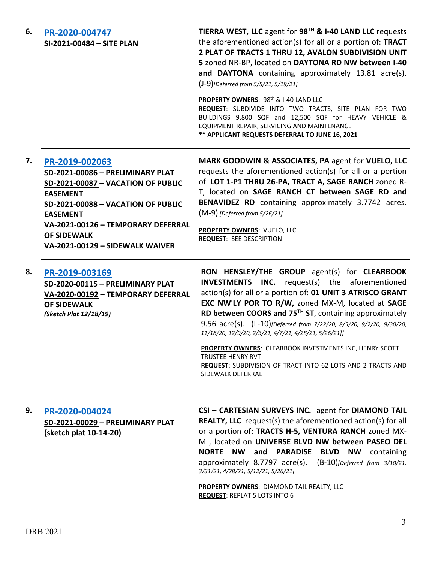**6. [PR-2020-004747](http://data.cabq.gov/government/planning/DRB/PR-2020-004747/DRB%20Submittals/PR-2020-004747_May_19_2021_Supp/Application/) SI-2021-00484 – SITE PLAN** **TIERRA WEST, LLC** agent for **98TH & I-40 LAND LLC** requests the aforementioned action(s) for all or a portion of: **TRACT 2 PLAT OF TRACTS 1 THRU 12, AVALON SUBDIVISION UNIT 5** zoned NR-BP, located on **DAYTONA RD NW between I-40 and DAYTONA** containing approximately 13.81 acre(s). (J-9)*[Deferred from 5/5/21, 5/19/21]*

**PROPERTY OWNERS: 98<sup>th</sup> & I-40 LAND LLC** 

**REQUEST**: SUBDIVIDE INTO TWO TRACTS, SITE PLAN FOR TWO BUILDINGS 9,800 SQF and 12,500 SQF for HEAVY VEHICLE & EQUIPMENT REPAIR, SERVICING AND MAINTENANCE **\*\* APPLICANT REQUESTS DEFERRAL TO JUNE 16, 2021**

# **7. [PR-2019-002063](http://data.cabq.gov/government/planning/DRB/PR-2019-002063/DRB%20Submittals/)**

**SD-2021-00086 – PRELIMINARY PLAT SD-2021-00087 – VACATION OF PUBLIC EASEMENT SD-2021-00088 – VACATION OF PUBLIC EASEMENT VA-2021-00126 – TEMPORARY DEFERRAL OF SIDEWALK VA-2021-00129 – SIDEWALK WAIVER**

**MARK GOODWIN & ASSOCIATES, PA** agent for **VUELO, LLC** requests the aforementioned action(s) for all or a portion of: **LOT 1-P1 THRU 26-PA, TRACT A, SAGE RANCH** zoned R-T, located on **SAGE RANCH CT between SAGE RD and BENAVIDEZ RD** containing approximately 3.7742 acres. (M**-**9) *[Deferred from 5/26/21]*

**PROPERTY OWNERS**: VUELO, LLC **REQUEST**: SEE DESCRIPTION

### **8. [PR-2019-003169](http://data.cabq.gov/government/planning/DRB/PR-2019-003169/DRB%20Submittals/)**

**SD-2020-00115** – **PRELIMINARY PLAT VA-2020-00192** – **TEMPORARY DEFERRAL OF SIDEWALK** *(Sketch Plat 12/18/19)*

**RON HENSLEY/THE GROUP** agent(s) for **CLEARBOOK INVESTMENTS INC.** request(s) the aforementioned action(s) for all or a portion of: **01 UNIT 3 ATRISCO GRANT EXC NW'LY POR TO R/W,** zoned MX-M, located at **SAGE RD between COORS and 75TH ST**, containing approximately 9.56 acre(s). (L-10)*[Deferred from 7/22/20, 8/5/20, 9/2/20, 9/30/20, 11/18/20, 12/9/20, 2/3/21, 4/7/21, 4/28/21, 5/26/21]]*

**PROPERTY OWNERS**: CLEARBOOK INVESTMENTS INC, HENRY SCOTT TRUSTEE HENRY RVT **REQUEST**: SUBDIVISION OF TRACT INTO 62 LOTS AND 2 TRACTS AND SIDEWALK DEFERRAL

#### **9. [PR-2020-004024](http://data.cabq.gov/government/planning/DRB/PR-2020-004024/DRB%20Submittals/PR-2020-004024_June_9_2021_Supp/Application/PR-2020-004024_SD2021-00029_Supplemental%20Submittal.pdf)**

**SD-2021-00029 – PRELIMINARY PLAT (sketch plat 10-14-20)**

**CSI – CARTESIAN SURVEYS INC.** agent for **DIAMOND TAIL REALTY, LLC** request(s) the aforementioned action(s) for all or a portion of: **TRACTS H-5, VENTURA RANCH** zoned MX-M , located on **UNIVERSE BLVD NW between PASEO DEL NORTE NW and PARADISE BLVD NW** containing approximately 8.7797 acre(s). (B-10)*[Deferred from 3/10/21, 3/31/21, 4/28/21, 5/12/21, 5/26/21]*

**PROPERTY OWNERS**: DIAMOND TAIL REALTY, LLC **REQUEST**: REPLAT 5 LOTS INTO 6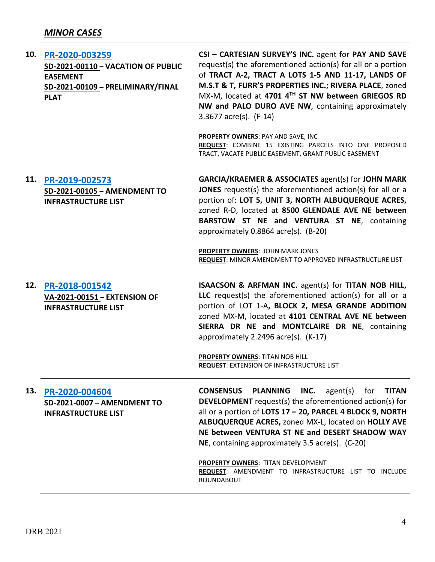| 10. | PR-2020-003259<br>SD-2021-00110 - VACATION OF PUBLIC<br><b>EASEMENT</b><br>SD-2021-00109 - PRELIMINARY/FINAL<br><b>PLAT</b> | CSI - CARTESIAN SURVEY'S INC. agent for PAY AND SAVE<br>request(s) the aforementioned action(s) for all or a portion<br>of TRACT A-2, TRACT A LOTS 1-5 AND 11-17, LANDS OF<br>M.S.T & T, FURR'S PROPERTIES INC.; RIVERA PLACE, zoned<br>MX-M, located at 4701 4TH ST NW between GRIEGOS RD<br>NW and PALO DURO AVE NW, containing approximately<br>3.3677 $\arccos 1$ (F-14)<br>PROPERTY OWNERS: PAY AND SAVE, INC<br>REQUEST: COMBINE 15 EXISTING PARCELS INTO ONE PROPOSED<br>TRACT, VACATE PUBLIC EASEMENT, GRANT PUBLIC EASEMENT |
|-----|-----------------------------------------------------------------------------------------------------------------------------|--------------------------------------------------------------------------------------------------------------------------------------------------------------------------------------------------------------------------------------------------------------------------------------------------------------------------------------------------------------------------------------------------------------------------------------------------------------------------------------------------------------------------------------|
| 11. | PR-2019-002573<br>SD-2021-00105 - AMENDMENT TO<br><b>INFRASTRUCTURE LIST</b>                                                | <b>GARCIA/KRAEMER &amp; ASSOCIATES agent(s) for JOHN MARK</b><br>JONES request(s) the aforementioned action(s) for all or a<br>portion of: LOT 5, UNIT 3, NORTH ALBUQUERQUE ACRES,<br>zoned R-D, located at 8500 GLENDALE AVE NE between<br>BARSTOW ST NE and VENTURA ST NE, containing<br>approximately 0.8864 acre(s). (B-20)                                                                                                                                                                                                      |
|     |                                                                                                                             | <b>PROPERTY OWNERS: JOHN MARK JONES</b><br>REQUEST: MINOR AMENDMENT TO APPROVED INFRASTRUCTURE LIST                                                                                                                                                                                                                                                                                                                                                                                                                                  |
| 12. | PR-2018-001542<br>VA-2021-00151 - EXTENSION OF<br><b>INFRASTRUCTURE LIST</b>                                                | ISAACSON & ARFMAN INC. agent(s) for TITAN NOB HILL,<br>LLC request(s) the aforementioned action(s) for all or a<br>portion of LOT 1-A, BLOCK 2, MESA GRANDE ADDITION<br>zoned MX-M, located at 4101 CENTRAL AVE NE between<br>SIERRA DR NE and MONTCLAIRE DR NE, containing<br>approximately 2.2496 acre(s). (K-17)                                                                                                                                                                                                                  |
|     |                                                                                                                             | PROPERTY OWNERS: TITAN NOB HILL<br><b>REQUEST: EXTENSION OF INFRASTRUCTURE LIST</b>                                                                                                                                                                                                                                                                                                                                                                                                                                                  |
| 13. | PR-2020-004604<br>SD-2021-0007 - AMENDMENT TO<br><b>INFRASTRUCTURE LIST</b>                                                 | agent(s)<br><b>CONSENSUS</b><br><b>PLANNING</b><br>INC.<br>for<br><b>TITAN</b><br><b>DEVELOPMENT</b> request(s) the aforementioned action(s) for<br>all or a portion of LOTS 17 - 20, PARCEL 4 BLOCK 9, NORTH<br>ALBUQUERQUE ACRES, zoned MX-L, located on HOLLY AVE<br>NE between VENTURA ST NE and DESERT SHADOW WAY<br>NE, containing approximately 3.5 acre(s). (C-20)                                                                                                                                                           |
|     |                                                                                                                             | PROPERTY OWNERS: TITAN DEVELOPMENT<br>REQUEST: AMENDMENT TO INFRASTRUCTURE LIST TO INCLUDE<br>ROUNDABOUT                                                                                                                                                                                                                                                                                                                                                                                                                             |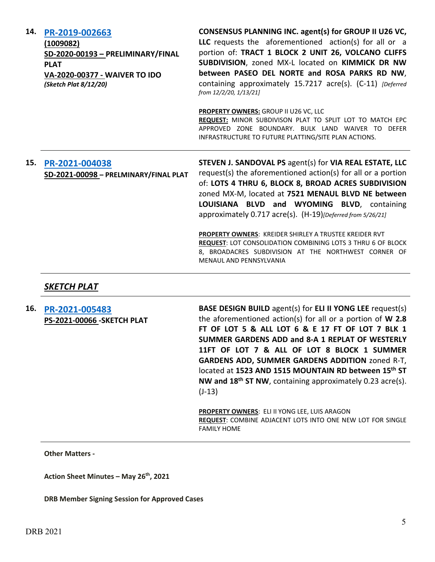| 14. | PR-2019-002663<br>(1009082)<br>SD-2020-00193 - PRELIMINARY/FINAL<br><b>PLAT</b><br>VA-2020-00377 - WAIVER TO IDO<br>(Sketch Plat 8/12/20) | CONSENSUS PLANNING INC. agent(s) for GROUP II U26 VC,<br>LLC requests the aforementioned action(s) for all or a<br>portion of: TRACT 1 BLOCK 2 UNIT 26, VOLCANO CLIFFS<br>SUBDIVISION, zoned MX-L located on KIMMICK DR NW<br>between PASEO DEL NORTE and ROSA PARKS RD NW,<br>containing approximately 15.7217 acre(s). (C-11) [Deferred]<br>from 12/2/20, 1/13/21]                                                                                                              |
|-----|-------------------------------------------------------------------------------------------------------------------------------------------|-----------------------------------------------------------------------------------------------------------------------------------------------------------------------------------------------------------------------------------------------------------------------------------------------------------------------------------------------------------------------------------------------------------------------------------------------------------------------------------|
|     |                                                                                                                                           | PROPERTY OWNERS: GROUP II U26 VC, LLC<br>REQUEST: MINOR SUBDIVISON PLAT TO SPLIT LOT TO MATCH EPC<br>APPROVED ZONE BOUNDARY. BULK LAND WAIVER TO DEFER<br>INFRASTRUCTURE TO FUTURE PLATTING/SITE PLAN ACTIONS.                                                                                                                                                                                                                                                                    |
| 15. | PR-2021-004038<br>SD-2021-00098 - PRELMINARY/FINAL PLAT                                                                                   | STEVEN J. SANDOVAL PS agent(s) for VIA REAL ESTATE, LLC<br>request(s) the aforementioned action(s) for all or a portion<br>of: LOTS 4 THRU 6, BLOCK 8, BROAD ACRES SUBDIVISION<br>zoned MX-M, located at 7521 MENAUL BLVD NE between<br>LOUISIANA BLVD and WYOMING BLVD, containing<br>approximately 0.717 acre(s). (H-19)[Deferred from 5/26/21]<br><b>PROPERTY OWNERS: KREIDER SHIRLEY A TRUSTEE KREIDER RVT</b><br>REQUEST: LOT CONSOLIDATION COMBINING LOTS 3 THRU 6 OF BLOCK |
|     | SKETCH PLAT                                                                                                                               | 8, BROADACRES SUBDIVISION AT THE NORTHWEST CORNER OF<br>MENAUL AND PENNSYLVANIA                                                                                                                                                                                                                                                                                                                                                                                                   |

**16. [PR-2021-005483](http://data.cabq.gov/government/planning/DRB/PR-2021-005483/DRB%20Submittals/PR-2021-005483_June_9_2021/Application/DRB-applicationLEEFin.pdf) PS-2021-00066 -SKETCH PLAT** **BASE DESIGN BUILD** agent(s) for **ELI II YONG LEE** request(s) the aforementioned action(s) for all or a portion of **W 2.8 FT OF LOT 5 & ALL LOT 6 & E 17 FT OF LOT 7 BLK 1 SUMMER GARDENS ADD and 8-A 1 REPLAT OF WESTERLY 11FT OF LOT 7 & ALL OF LOT 8 BLOCK 1 SUMMER GARDENS ADD, SUMMER GARDENS ADDITION** zoned R-T, located at **1523 AND 1515 MOUNTAIN RD between 15th ST NW and 18th ST NW**, containing approximately 0.23 acre(s). (J-13)

**PROPERTY OWNERS**: ELI II YONG LEE, LUIS ARAGON **REQUEST**: COMBINE ADJACENT LOTS INTO ONE NEW LOT FOR SINGLE FAMILY HOME

#### **Other Matters -**

**Action Sheet Minutes – May 26th, 2021**

**DRB Member Signing Session for Approved Cases**